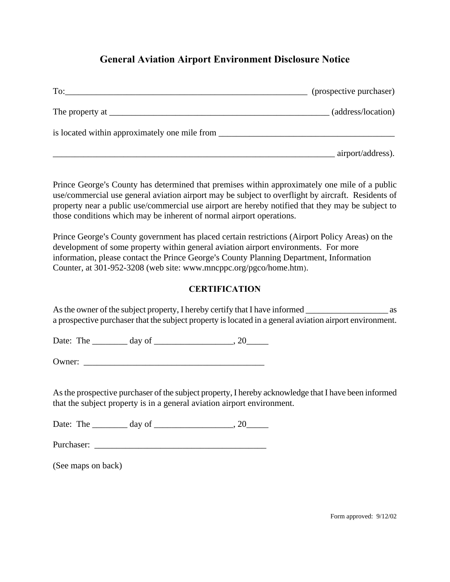## **General Aviation Airport Environment Disclosure Notice**

| To:                                           | (prospective purchaser) |
|-----------------------------------------------|-------------------------|
|                                               | (address/location)      |
| is located within approximately one mile from |                         |
|                                               | airport/address).       |

Prince George's County has determined that premises within approximately one mile of a public use/commercial use general aviation airport may be subject to overflight by aircraft. Residents of property near a public use/commercial use airport are hereby notified that they may be subject to those conditions which may be inherent of normal airport operations.

Prince George's County government has placed certain restrictions (Airport Policy Areas) on the development of some property within general aviation airport environments. For more information, please contact the Prince George's County Planning Department, Information Counter, at 301-952-3208 (web site: [www.mncppc.org/pgco/home.htm](http://www.mncppc.org/pgco/home.htm)).

## **CERTIFICATION**

As the owner of the subject property, I hereby certify that I have informed as a prospective purchaser that the subject property is located in a general aviation airport environment.

Date: The \_\_\_\_\_\_\_\_ day of \_\_\_\_\_\_\_\_\_\_\_\_\_\_\_\_\_\_, 20\_\_\_\_\_

Owner:

As the prospective purchaser of the subject property, I hereby acknowledge that I have been informed that the subject property is in a general aviation airport environment.

Date: The  $\qquad \qquad \text{day of} \qquad \qquad .20$ 

Purchaser: \_\_\_\_\_\_\_\_\_\_\_\_\_\_\_\_\_\_\_\_\_\_\_\_\_\_\_\_\_\_\_\_\_\_\_\_\_\_\_

(See maps on back)